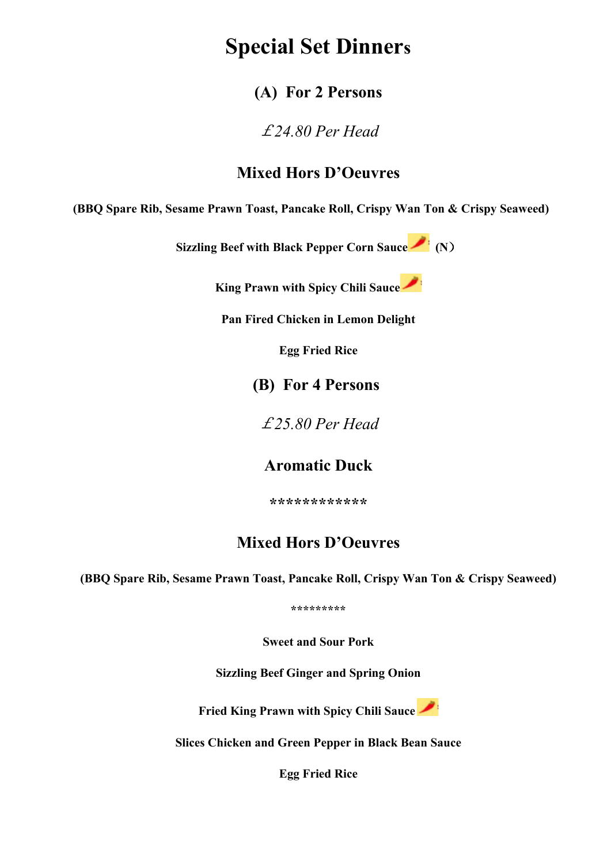# **Special Set Dinners**

#### **(A) For 2 Persons**

£*24.80 Per Head*

#### **Mixed Hors D'Oeuvres**

**(BBQ Spare Rib, Sesame Prawn Toast, Pancake Roll, Crispy Wan Ton & Crispy Seaweed)**

**Sizzling Beef with Black Pepper Corn Sauce (N**)

**King Prawn with Spicy Chili Sauce**

**Pan Fired Chicken in Lemon Delight**

**Egg Fried Rice**

**(B) For 4 Persons**

£*25.80 Per Head*

#### **Aromatic Duck**

**\*\*\*\*\*\*\*\*\*\*\*\***

#### **Mixed Hors D'Oeuvres**

**(BBQ Spare Rib, Sesame Prawn Toast, Pancake Roll, Crispy Wan Ton & Crispy Seaweed)**

**\*\*\*\*\*\*\*\*\***

**Sweet and Sour Pork**

**Sizzling Beef Ginger and Spring Onion**

**Fried King Prawn with Spicy Chili Sauce**



**Slices Chicken and Green Pepper in Black Bean Sauce**

**Egg Fried Rice**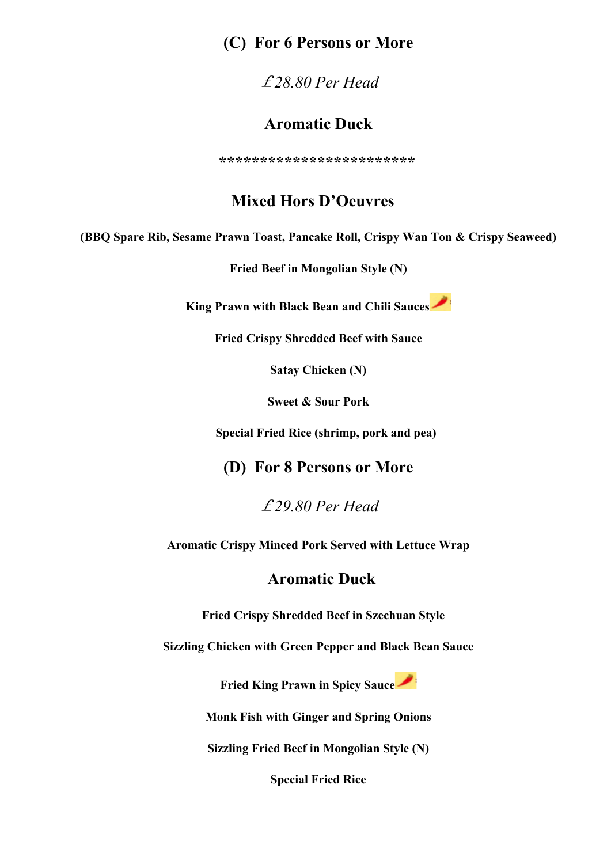#### **(C) For 6 Persons or More**

£*28.80 Per Head*

#### **Aromatic Duck**

 **\*\*\*\*\*\*\*\*\*\*\*\*\*\*\*\*\*\*\*\*\*\*\*\*** 

#### **Mixed Hors D'Oeuvres**

**(BBQ Spare Rib, Sesame Prawn Toast, Pancake Roll, Crispy Wan Ton & Crispy Seaweed)**

**Fried Beef in Mongolian Style (N)**

**King Prawn with Black Bean and Chili Sauces**

**Fried Crispy Shredded Beef with Sauce**

**Satay Chicken (N)**

**Sweet & Sour Pork**

 **Special Fried Rice (shrimp, pork and pea)**

**(D) For 8 Persons or More**

£*29.80 Per Head*

**Aromatic Crispy Minced Pork Served with Lettuce Wrap**

#### **Aromatic Duck**

**Fried Crispy Shredded Beef in Szechuan Style**

**Sizzling Chicken with Green Pepper and Black Bean Sauce**

**Fried King Prawn in Spicy Sauce**

**Monk Fish with Ginger and Spring Onions**

**Sizzling Fried Beef in Mongolian Style (N)**

**Special Fried Rice**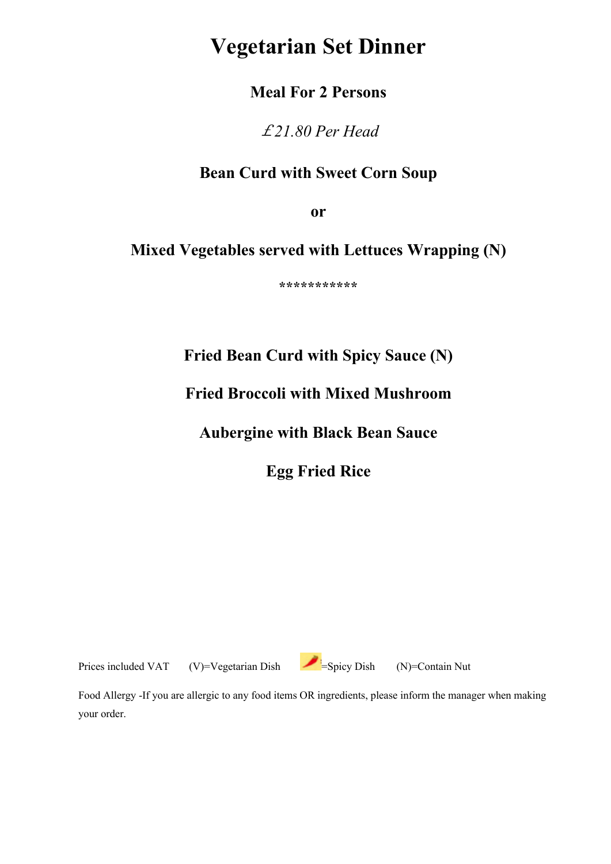# **Vegetarian Set Dinner**

#### **Meal For 2 Persons**

£*21.80 Per Head*

#### **Bean Curd with Sweet Corn Soup**

**or**

#### **Mixed Vegetables served with Lettuces Wrapping (N)**

**\*\*\*\*\*\*\*\*\*\*\***

### **Fried Bean Curd with Spicy Sauce (N)**

#### **Fried Broccoli with Mixed Mushroom**

#### **Aubergine with Black Bean Sauce**

**Egg Fried Rice**

Prices included VAT (V)=Vegetarian Dish =Spicy Dish (N)=Contain Nut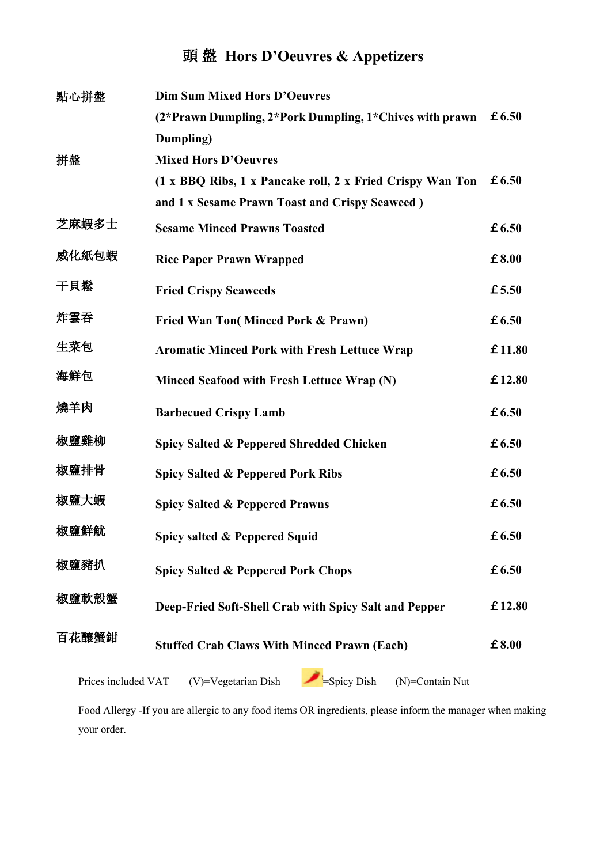### 頭 盤 **Hors D'Oeuvres & Appetizers**

| 點心拼盤  | <b>Dim Sum Mixed Hors D'Oeuvres</b>                       |        |
|-------|-----------------------------------------------------------|--------|
|       | (2*Prawn Dumpling, 2*Pork Dumpling, 1*Chives with prawn   | £6.50  |
|       | Dumpling)                                                 |        |
| 拼盤    | <b>Mixed Hors D'Oeuvres</b>                               |        |
|       | (1 x BBQ Ribs, 1 x Pancake roll, 2 x Fried Crispy Wan Ton | £6.50  |
|       | and 1 x Sesame Prawn Toast and Crispy Seaweed)            |        |
| 芝麻蝦多士 | <b>Sesame Minced Prawns Toasted</b>                       | £6.50  |
| 威化紙包蝦 | <b>Rice Paper Prawn Wrapped</b>                           | £8.00  |
| 干貝鬆   | <b>Fried Crispy Seaweeds</b>                              | £ 5.50 |
| 炸雲吞   | Fried Wan Ton(Minced Pork & Prawn)                        | £6.50  |
| 生菜包   | <b>Aromatic Minced Pork with Fresh Lettuce Wrap</b>       | £11.80 |
| 海鮮包   | Minced Seafood with Fresh Lettuce Wrap (N)                | £12.80 |
| 燒羊肉   | <b>Barbecued Crispy Lamb</b>                              | £6.50  |
| 椒鹽雞柳  | Spicy Salted & Peppered Shredded Chicken                  | £6.50  |
| 椒鹽排骨  | <b>Spicy Salted &amp; Peppered Pork Ribs</b>              | £6.50  |
| 椒鹽大蝦  | <b>Spicy Salted &amp; Peppered Prawns</b>                 | £6.50  |
| 椒鹽鮮魷  | Spicy salted & Peppered Squid                             | £6.50  |
| 椒鹽豬扒  | <b>Spicy Salted &amp; Peppered Pork Chops</b>             | £6.50  |
| 椒鹽軟殼蟹 | Deep-Fried Soft-Shell Crab with Spicy Salt and Pepper     | £12.80 |
| 百花釀蟹鉗 | <b>Stuffed Crab Claws With Minced Prawn (Each)</b>        | £8.00  |
|       |                                                           |        |

Prices included VAT (V)=Vegetarian Dish =Spicy Dish (N)=Contain Nut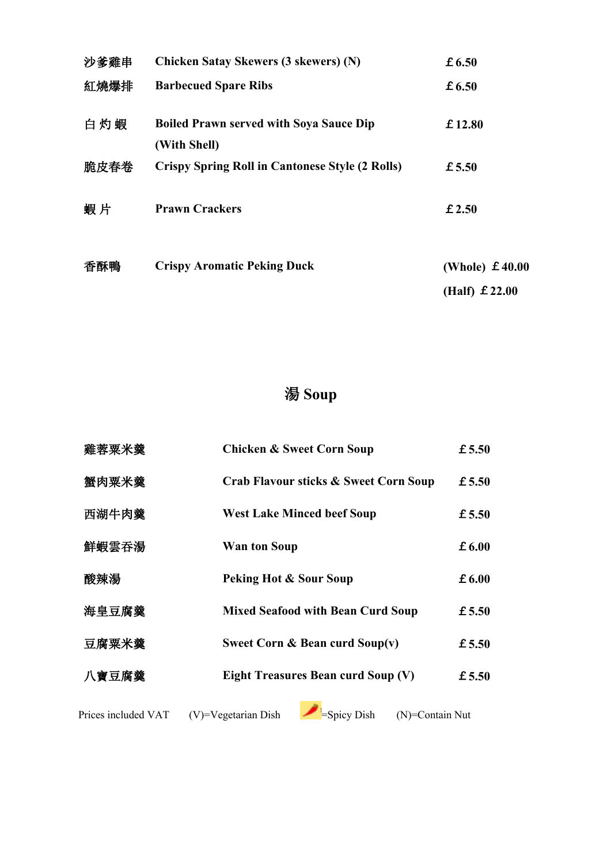| 沙爹雞串 | <b>Chicken Satay Skewers (3 skewers) (N)</b>                   | £6.50                  |
|------|----------------------------------------------------------------|------------------------|
| 紅燒爆排 | <b>Barbecued Spare Ribs</b>                                    | £6.50                  |
| 白灼蝦  | <b>Boiled Prawn served with Soya Sauce Dip</b><br>(With Shell) | £12.80                 |
| 脆皮春卷 | <b>Crispy Spring Roll in Cantonese Style (2 Rolls)</b>         | £5.50                  |
| 蝦片   | <b>Prawn Crackers</b>                                          | £2.50                  |
| 香酥鴨  | <b>Crispy Aromatic Peking Duck</b>                             | (Whole) $\pm 40.00$    |
|      |                                                                | (Half) $\pounds$ 22.00 |

# 湯 **Soup**

| 雞蓉粟米羹 | <b>Chicken &amp; Sweet Corn Soup</b>             | £ 5.50 |
|-------|--------------------------------------------------|--------|
| 蟹肉粟米羹 | <b>Crab Flavour sticks &amp; Sweet Corn Soup</b> | £5.50  |
| 西湖牛肉羹 | <b>West Lake Minced beef Soup</b>                | £5.50  |
| 鮮蝦雲吞湯 | <b>Wan ton Soup</b>                              | £ 6.00 |
| 酸辣湯   | <b>Peking Hot &amp; Sour Soup</b>                | £6.00  |
| 海皇豆腐羹 | <b>Mixed Seafood with Bean Curd Soup</b>         | £ 5.50 |
| 豆腐粟米羹 | Sweet Corn & Bean curd Soup(v)                   | £ 5.50 |
| 八寶豆腐羹 | <b>Eight Treasures Bean curd Soup (V)</b>        | £ 5.50 |
|       |                                                  |        |

 $(V)$ =Vegetarian Dish  $=$ Spicy Dish (N)=Contain Nut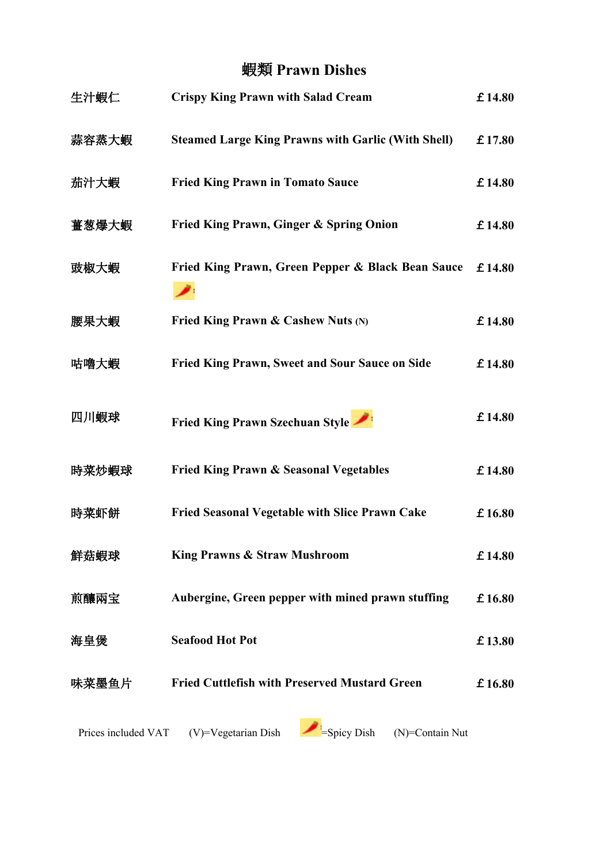### 蝦類 **Prawn Dishes**

| 生汁蝦仁                | <b>Crispy King Prawn with Salad Cream</b>                 | £14.80 |
|---------------------|-----------------------------------------------------------|--------|
| 蒜容蒸大蝦               | <b>Steamed Large King Prawns with Garlic (With Shell)</b> | £17.80 |
| 茄汁大蝦                | <b>Fried King Prawn in Tomato Sauce</b>                   | £14.80 |
| 薑葱爆大蝦               | Fried King Prawn, Ginger & Spring Onion                   | £14.80 |
| 豉椒大蝦                | Fried King Prawn, Green Pepper & Black Bean Sauce         | £14.80 |
| 腰果大蝦                | Fried King Prawn & Cashew Nuts (N)                        | £14.80 |
| 咕嚕大蝦                | <b>Fried King Prawn, Sweet and Sour Sauce on Side</b>     | £14.80 |
| 四川蝦球                | Fried King Prawn Szechuan Style                           | £14.80 |
| 時菜炒蝦球               | <b>Fried King Prawn &amp; Seasonal Vegetables</b>         | £14.80 |
| 時菜虾餅                | <b>Fried Seasonal Vegetable with Slice Prawn Cake</b>     | £16.80 |
| 鮮菇蝦球                | <b>King Prawns &amp; Straw Mushroom</b>                   | £14.80 |
| 煎釀兩宝                | Aubergine, Green pepper with mined prawn stuffing         | £16.80 |
| 海皇煲                 | <b>Seafood Hot Pot</b>                                    | £13.80 |
| 味菜墨鱼片               | <b>Fried Cuttlefish with Preserved Mustard Green</b>      | £16.80 |
| Prices included VAT | =Spicy Dish<br>(V)=Vegetarian Dish<br>(N)=Contain Nut     |        |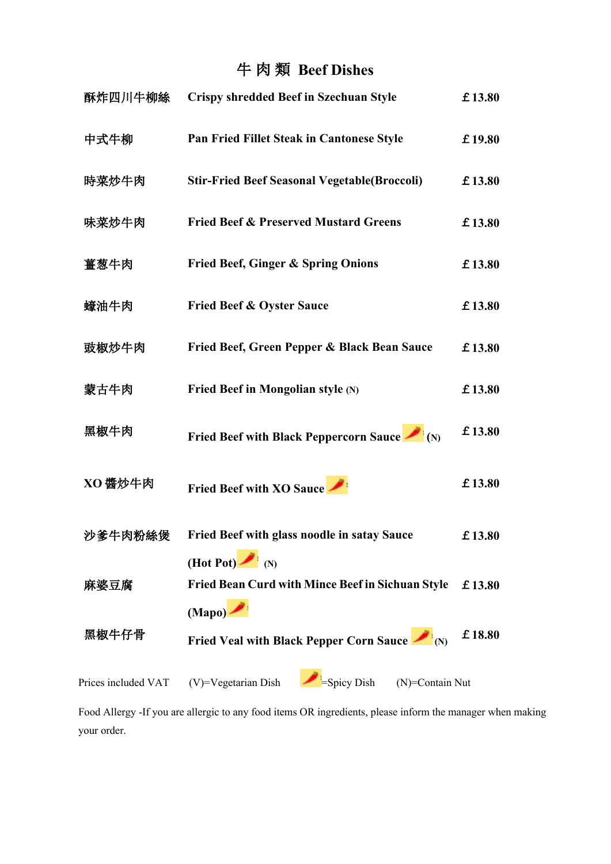# 牛 肉 類 **Beef Dishes**

| 酥炸四川牛柳絲             | <b>Crispy shredded Beef in Szechuan Style</b>                                                | £13.80 |
|---------------------|----------------------------------------------------------------------------------------------|--------|
| 中式牛柳                | Pan Fried Fillet Steak in Cantonese Style                                                    | £19.80 |
| 時菜炒牛肉               | <b>Stir-Fried Beef Seasonal Vegetable (Broccoli)</b>                                         | £13.80 |
| 味菜炒牛肉               | <b>Fried Beef &amp; Preserved Mustard Greens</b>                                             | £13.80 |
| 薑葱牛肉                | <b>Fried Beef, Ginger &amp; Spring Onions</b>                                                | £13.80 |
| 蠔油牛肉                | <b>Fried Beef &amp; Oyster Sauce</b>                                                         | £13.80 |
| 豉椒炒牛肉               | Fried Beef, Green Pepper & Black Bean Sauce                                                  | £13.80 |
| 蒙古牛肉                | Fried Beef in Mongolian style (N)                                                            | £13.80 |
| 黑椒牛肉                | Fried Beef with Black Peppercorn Sauce $\blacksquare$ (N)                                    | £13.80 |
| XO 醬炒牛肉             | <b>Fried Beef with XO Sauce</b>                                                              | £13.80 |
| 沙爹牛肉粉絲煲             | <b>Fried Beef with glass noodle in satay Sauce</b>                                           | £13.80 |
| 麻婆豆腐                | (Hot Pot) $\bullet$ (N)<br><b>Fried Bean Curd with Mince Beef in Sichuan Style</b><br>(Mapo) | £13.80 |
| 黑椒牛仔骨               | Fried Veal with Black Pepper Corn Sauce $\blacksquare$ (N)                                   | £18.80 |
| Prices included VAT | Spicy Dish<br>(V)=Vegetarian Dish<br>(N)=Contain Nut                                         |        |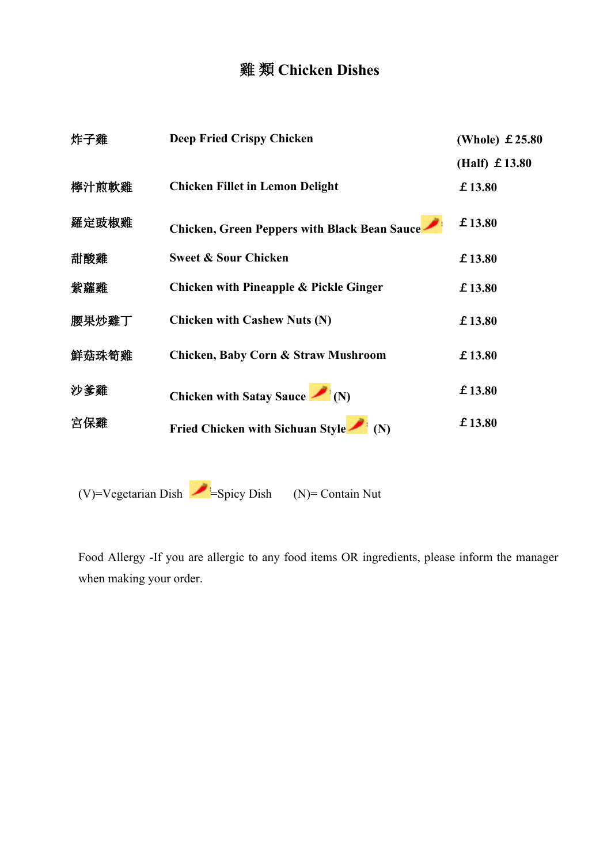### 雞 類 **Chicken Dishes**

| 炸子雞   | <b>Deep Fried Crispy Chicken</b>                    | (Whole) $£ 25.80$      |
|-------|-----------------------------------------------------|------------------------|
|       |                                                     | (Half) $\pounds$ 13.80 |
| 檸汁煎軟雞 | <b>Chicken Fillet in Lemon Delight</b>              | £13.80                 |
| 羅定豉椒雞 | <b>Chicken, Green Peppers with Black Bean Sauce</b> | £13.80                 |
| 甜酸雞   | <b>Sweet &amp; Sour Chicken</b>                     | £13.80                 |
| 紫蘿雞   | <b>Chicken with Pineapple &amp; Pickle Ginger</b>   | £13.80                 |
| 腰果炒雞丁 | <b>Chicken with Cashew Nuts (N)</b>                 | £13.80                 |
| 鮮菇珠筍雞 | Chicken, Baby Corn & Straw Mushroom                 | £13.80                 |
| 沙爹雞   | Chicken with Satay Sauce $\blacksquare$ (N)         | £13.80                 |
| 宮保雞   | Fried Chicken with Sichuan Style (N)                | £13.80                 |

(V)=Vegetarian Dish  $=$ Spicy Dish (N)= Contain Nut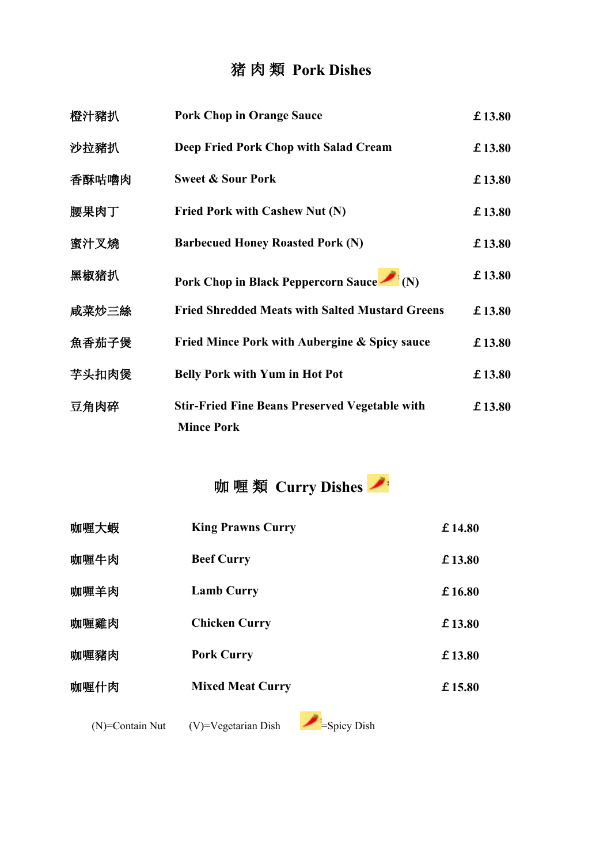### 猪 肉 類 **Pork Dishes**

| 橙汁豬扒  | <b>Pork Chop in Orange Sauce</b>                                           | £13.80 |
|-------|----------------------------------------------------------------------------|--------|
| 沙拉豬扒  | Deep Fried Pork Chop with Salad Cream                                      | £13.80 |
| 香酥咕嚕肉 | <b>Sweet &amp; Sour Pork</b>                                               | £13.80 |
| 腰果肉丁  | Fried Pork with Cashew Nut (N)                                             | £13.80 |
| 蜜汁叉燒  | <b>Barbecued Honey Roasted Pork (N)</b>                                    | £13.80 |
| 黑椒猪扒  | Pork Chop in Black Peppercorn Sauce (N)                                    | £13.80 |
| 咸菜炒三絲 | <b>Fried Shredded Meats with Salted Mustard Greens</b>                     | £13.80 |
| 魚香茄子煲 | <b>Fried Mince Pork with Aubergine &amp; Spicy sauce</b>                   | £13.80 |
| 芋头扣肉煲 | <b>Belly Pork with Yum in Hot Pot</b>                                      | £13.80 |
| 豆角肉碎  | <b>Stir-Fried Fine Beans Preserved Vegetable with</b><br><b>Mince Pork</b> | £13.80 |

# 咖 喱 類 **Curry Dishes**

| 咖喱大蝦 | <b>King Prawns Curry</b> | £14.80  |
|------|--------------------------|---------|
| 咖喱牛肉 | <b>Beef Curry</b>        | £13.80  |
| 咖喱羊肉 | <b>Lamb Curry</b>        | £16.80  |
| 咖喱雞肉 | <b>Chicken Curry</b>     | £13.80  |
| 咖喱豬肉 | <b>Pork Curry</b>        | £13.80  |
| 咖喱什肉 | <b>Mixed Meat Curry</b>  | £ 15.80 |
|      |                          |         |

(N)=Contain Nut (V)=Vegetarian Dish  $\blacksquare$  =Spicy Dish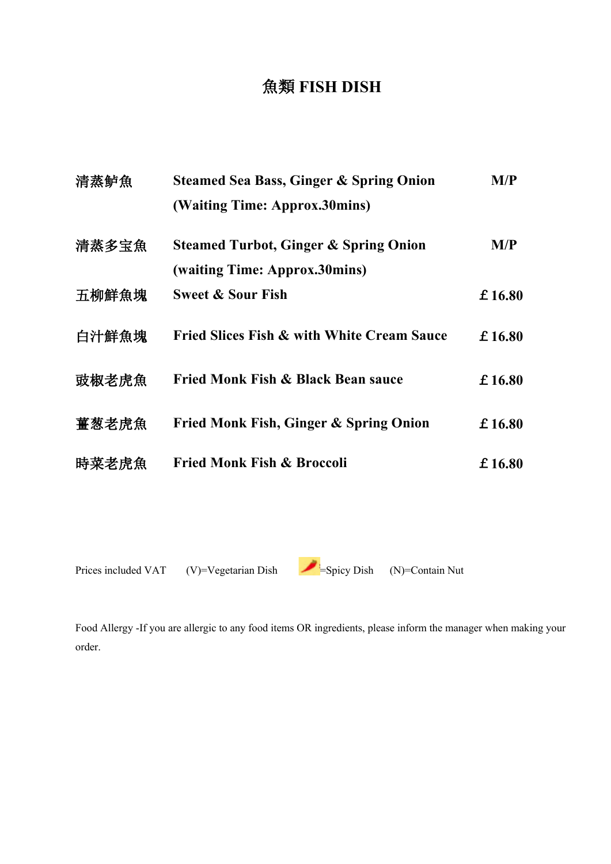### 魚類 **FISH DISH**

| 清蒸鲈魚  | <b>Steamed Sea Bass, Ginger &amp; Spring Onion</b><br>(Waiting Time: Approx.30mins) | M/P    |
|-------|-------------------------------------------------------------------------------------|--------|
| 清蒸多宝魚 | <b>Steamed Turbot, Ginger &amp; Spring Onion</b><br>(waiting Time: Approx.30mins)   | M/P    |
| 五柳鮮魚塊 | <b>Sweet &amp; Sour Fish</b>                                                        | £16.80 |
| 白汁鮮魚塊 | <b>Fried Slices Fish &amp; with White Cream Sauce</b>                               | £16.80 |
| 豉椒老虎魚 | Fried Monk Fish & Black Bean sauce                                                  | £16.80 |
| 薑葱老虎魚 | Fried Monk Fish, Ginger & Spring Onion                                              | £16.80 |
| 時菜老虎魚 | <b>Fried Monk Fish &amp; Broccoli</b>                                               | £16.80 |
|       |                                                                                     |        |

Prices included VAT (V)=Vegetarian Dish =Spicy Dish (N)=Contain Nut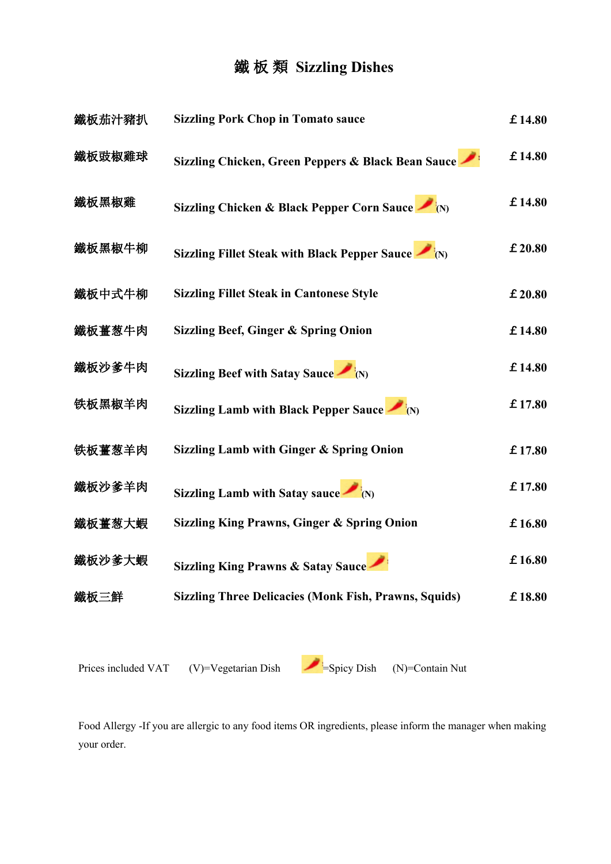### 鐵 板 類 **Sizzling Dishes**

| 鐵板茄汁豬扒 | <b>Sizzling Pork Chop in Tomato sauce</b>                        | £14.80 |
|--------|------------------------------------------------------------------|--------|
| 鐵板豉椒雞球 | Sizzling Chicken, Green Peppers & Black Bean Sauce               | £14.80 |
| 鐵板黑椒雞  | Sizzling Chicken & Black Pepper Corn Sauce (N)                   | £14.80 |
| 鐵板黑椒牛柳 | Sizzling Fillet Steak with Black Pepper Sauce $\blacksquare$ (N) | £20.80 |
| 鐵板中式牛柳 | <b>Sizzling Fillet Steak in Cantonese Style</b>                  | £20.80 |
| 鐵板薑葱牛肉 | <b>Sizzling Beef, Ginger &amp; Spring Onion</b>                  | £14.80 |
| 鐵板沙爹牛肉 | Sizzling Beef with Satay Sauce $\blacksquare$ (N)                | £14.80 |
| 铁板黑椒羊肉 | Sizzling Lamb with Black Pepper Sauce $\blacksquare$ (N)         | £17.80 |
| 铁板薑葱羊肉 | <b>Sizzling Lamb with Ginger &amp; Spring Onion</b>              | £17.80 |
| 鐵板沙爹羊肉 | Sizzling Lamb with Satay sauce $\blacksquare$                    | £17.80 |
| 鐵板薑葱大蝦 | <b>Sizzling King Prawns, Ginger &amp; Spring Onion</b>           | £16.80 |
| 鐵板沙爹大蝦 | Sizzling King Prawns & Satay Sauce                               | £16.80 |
| 鐵板三鮮   | <b>Sizzling Three Delicacies (Monk Fish, Prawns, Squids)</b>     | £18.80 |
|        |                                                                  |        |

Prices included VAT (V)=Vegetarian Dish  $\blacksquare$  =Spicy Dish (N)=Contain Nut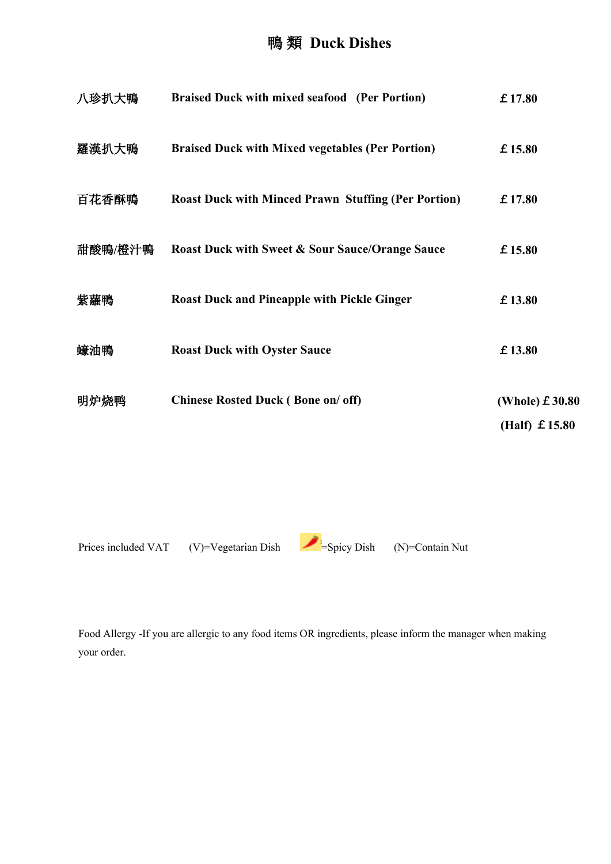### 鴨 類 **Duck Dishes**

| 八珍扒大鴨   | <b>Braised Duck with mixed seafood (Per Portion)</b>       | £17.80                                      |
|---------|------------------------------------------------------------|---------------------------------------------|
| 羅漢扒大鴨   | <b>Braised Duck with Mixed vegetables (Per Portion)</b>    | £15.80                                      |
| 百花香酥鴨   | <b>Roast Duck with Minced Prawn Stuffing (Per Portion)</b> | £17.80                                      |
| 甜酸鴨/橙汁鴨 | <b>Roast Duck with Sweet &amp; Sour Sauce/Orange Sauce</b> | £15.80                                      |
| 紫蘿鴨     | <b>Roast Duck and Pineapple with Pickle Ginger</b>         | £13.80                                      |
| 蠔油鴨     | <b>Roast Duck with Oyster Sauce</b>                        | £13.80                                      |
| 明炉烧鸭    | <b>Chinese Rosted Duck (Bone on/ off)</b>                  | (Whole) $£ 30.80$<br>(Half) $\pounds$ 15.80 |

Prices included VAT (V)=Vegetarian Dish =Spicy Dish (N)=Contain Nut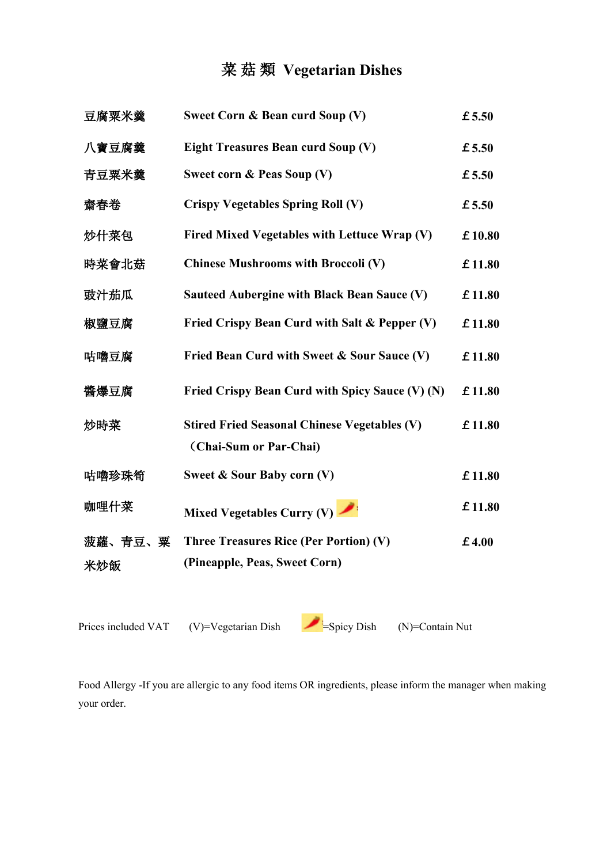### 菜 菇 類 **Vegetarian Dishes**

| 豆腐粟米羹          | Sweet Corn & Bean curd Soup (V)                                               | £5.50  |
|----------------|-------------------------------------------------------------------------------|--------|
| 八寶豆腐羹          | <b>Eight Treasures Bean curd Soup (V)</b>                                     | £5.50  |
| 青豆粟米羹          | Sweet corn & Peas Soup (V)                                                    | £5.50  |
| 齋春卷            | <b>Crispy Vegetables Spring Roll (V)</b>                                      | £5.50  |
| 炒什菜包           | Fired Mixed Vegetables with Lettuce Wrap (V)                                  | £10.80 |
| 時菜會北菇          | <b>Chinese Mushrooms with Broccoli (V)</b>                                    | £11.80 |
| 豉汁茄瓜           | <b>Sauteed Aubergine with Black Bean Sauce (V)</b>                            | £11.80 |
| 椒鹽豆腐           | Fried Crispy Bean Curd with Salt & Pepper (V)                                 | £11.80 |
| 咕嚕豆腐           | Fried Bean Curd with Sweet & Sour Sauce (V)                                   | £11.80 |
| 醬爆豆腐           | Fried Crispy Bean Curd with Spicy Sauce (V) (N)                               | £11.80 |
| 炒時菜            | <b>Stired Fried Seasonal Chinese Vegetables (V)</b><br>(Chai-Sum or Par-Chai) | £11.80 |
| 咕嚕珍珠筍          | Sweet & Sour Baby corn (V)                                                    | £11.80 |
| 咖哩什菜           | Mixed Vegetables Curry (V)                                                    | £11.80 |
| 菠蘿、青豆、粟<br>米炒飯 | Three Treasures Rice (Per Portion) (V)<br>(Pineapple, Peas, Sweet Corn)       | £4.00  |
|                |                                                                               |        |

| Prices included VAT | (V)=Vegetarian Dish | $-$ Spicy Dish | $(N)$ =Contain Nut |
|---------------------|---------------------|----------------|--------------------|
|                     |                     |                |                    |